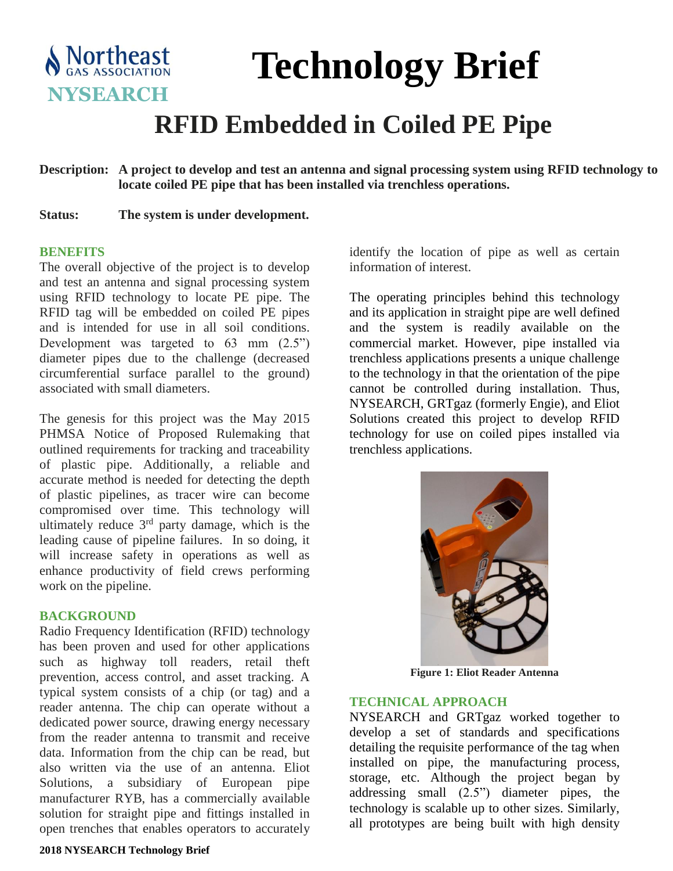

# **Technology Brief**

## **RFID Embedded in Coiled PE Pipe**

**Description: A project to develop and test an antenna and signal processing system using RFID technology to locate coiled PE pipe that has been installed via trenchless operations.**

**Status: The system is under development.**

#### **BENEFITS**

The overall objective of the project is to develop and test an antenna and signal processing system using RFID technology to locate PE pipe. The RFID tag will be embedded on coiled PE pipes and is intended for use in all soil conditions. Development was targeted to  $63 \text{ mm}$   $(2.5^{\circ})$ diameter pipes due to the challenge (decreased circumferential surface parallel to the ground) associated with small diameters.

The genesis for this project was the May 2015 PHMSA Notice of Proposed Rulemaking that outlined requirements for tracking and traceability of plastic pipe. Additionally, a reliable and accurate method is needed for detecting the depth of plastic pipelines, as tracer wire can become compromised over time. This technology will ultimately reduce 3<sup>rd</sup> party damage, which is the leading cause of pipeline failures. In so doing, it will increase safety in operations as well as enhance productivity of field crews performing work on the pipeline.

#### **BACKGROUND**

Radio Frequency Identification (RFID) technology has been proven and used for other applications such as highway toll readers, retail theft prevention, access control, and asset tracking. A typical system consists of a chip (or tag) and a reader antenna. The chip can operate without a dedicated power source, drawing energy necessary from the reader antenna to transmit and receive data. Information from the chip can be read, but also written via the use of an antenna. Eliot Solutions, a subsidiary of European pipe manufacturer RYB, has a commercially available solution for straight pipe and fittings installed in open trenches that enables operators to accurately

#### **2018 NYSEARCH Technology Brief**

identify the location of pipe as well as certain information of interest.

The operating principles behind this technology and its application in straight pipe are well defined and the system is readily available on the commercial market. However, pipe installed via trenchless applications presents a unique challenge to the technology in that the orientation of the pipe cannot be controlled during installation. Thus, NYSEARCH, GRTgaz (formerly Engie), and Eliot Solutions created this project to develop RFID technology for use on coiled pipes installed via trenchless applications.



**Figure 1: Eliot Reader Antenna**

#### **TECHNICAL APPROACH**

NYSEARCH and GRTgaz worked together to develop a set of standards and specifications detailing the requisite performance of the tag when installed on pipe, the manufacturing process, storage, etc. Although the project began by addressing small (2.5") diameter pipes, the technology is scalable up to other sizes. Similarly, all prototypes are being built with high density